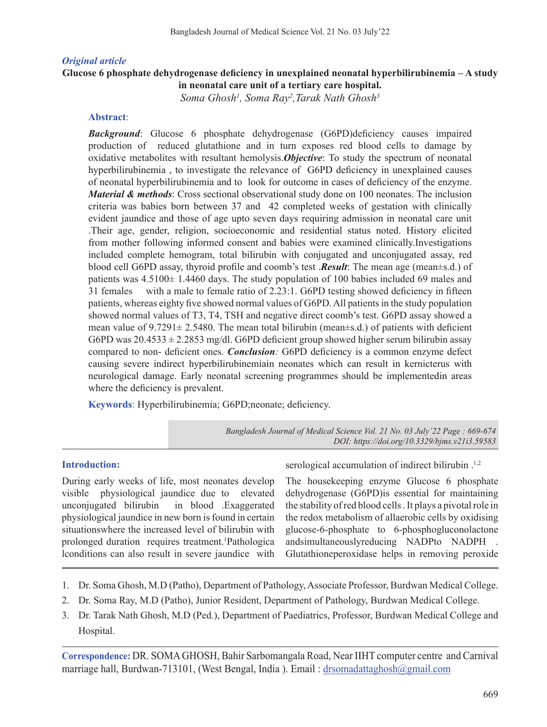## *Original article*

### **Glucose 6 phosphate dehydrogenase deficiency in unexplained neonatal hyperbilirubinemia – A study in neonatal care unit of a tertiary care hospital.**

*Soma Ghosh1 , Soma Ray2 ,Tarak Nath Ghosh3*

### **Abstract**:

*Background*: Glucose 6 phosphate dehydrogenase (G6PD)deficiency causes impaired production of reduced glutathione and in turn exposes red blood cells to damage by oxidative metabolites with resultant hemolysis.*Objective*: To study the spectrum of neonatal hyperbilirubinemia , to investigate the relevance of G6PD deficiency in unexplained causes of neonatal hyperbilirubinemia and to look for outcome in cases of deficiency of the enzyme. *Material & methods*: Cross sectional observational study done on 100 neonates. The inclusion criteria was babies born between 37 and 42 completed weeks of gestation with clinically evident jaundice and those of age upto seven days requiring admission in neonatal care unit .Their age, gender, religion, socioeconomic and residential status noted. History elicited from mother following informed consent and babies were examined clinically.Investigations included complete hemogram, total bilirubin with conjugated and unconjugated assay, red blood cell G6PD assay, thyroid profile and coomb's test .*Result*: The mean age (mean±s.d.) of patients was 4.5100± 1.4460 days. The study population of 100 babies included 69 males and 31 females with a male to female ratio of 2.23:1. G6PD testing showed deficiency in fifteen patients, whereas eighty five showed normal values of G6PD.All patientsin the study population showed normal values of T3, T4, TSH and negative direct coomb's test. G6PD assay showed a mean value of  $9.7291 \pm 2.5480$ . The mean total bilirubin (mean $\pm$ s.d.) of patients with deficient G6PD was  $20.4533 \pm 2.2853$  mg/dl. G6PD deficient group showed higher serum bilirubin assay compared to non- deficient ones. *Conclusion:* G6PD deficiency is a common enzyme defect causing severe indirect hyperbilirubinemiain neonates which can result in kernicterus with neurological damage. Early neonatal screening programmes should be implementedin areas where the deficiency is prevalent.

**Keywords**: Hyperbilirubinemia; G6PD;neonate; deficiency.

*Bangladesh Journal of Medical Science Vol. 21 No. 03 July'22 Page : 669-674 DOI: https://doi.org/10.3329/bjms.v21i3.59583*

### **Introduction:**

During early weeks of life, most neonates develop visible physiological jaundice due to elevated unconjugated bilirubin in blood .Exaggerated physiological jaundice in new born is found in certain situationswhere the increased level of bilirubin with prolonged duration requires treatment.<sup>1</sup>Pathologica lconditions can also result in severe jaundice with

serological accumulation of indirect bilirubin .<sup>1,2</sup>

The housekeeping enzyme Glucose 6 phosphate dehydrogenase (G6PD)is essential for maintaining the stability of red blood cells . It plays a pivotal role in the redox metabolism of allaerobic cells by oxidising glucose-6-phosphate to 6-phosphogluconolactone andsimultaneouslyreducing NADPto NADPH . Glutathioneperoxidase helps in removing peroxide

- 1. Dr. Soma Ghosh, M.D (Patho), Department of Pathology, Associate Professor, Burdwan Medical College.
- 2. Dr. Soma Ray, M.D (Patho), Junior Resident, Department of Pathology, Burdwan Medical College.
- 3. Dr. Tarak Nath Ghosh, M.D (Ped.), Department of Paediatrics, Professor, Burdwan Medical College and Hospital.

**Correspondence:** DR. SOMAGHOSH, Bahir Sarbomangala Road, Near IIHT computer centre and Carnival marriage hall, Burdwan-713101, (West Bengal, India). Email: drsomadattaghosh@gmail.com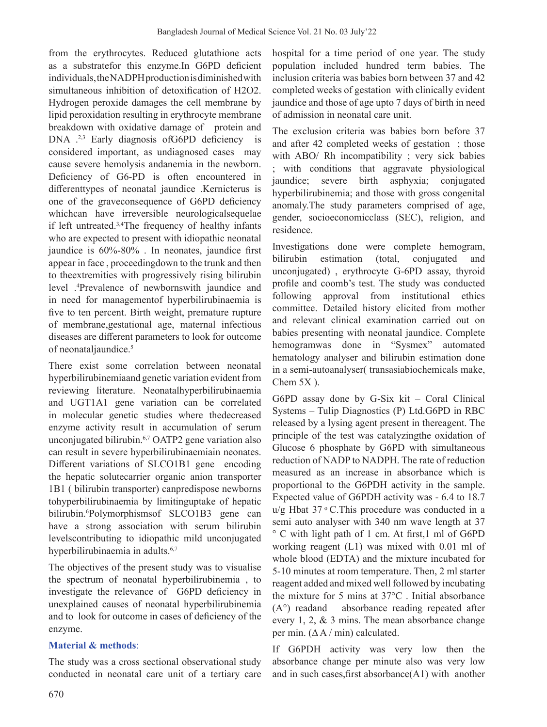from the erythrocytes. Reduced glutathione acts as a substratefor this enzyme.In G6PD deficient individuals,theNADPHproductionisdiminishedwith simultaneous inhibition of detoxification of H2O2. Hydrogen peroxide damages the cell membrane by lipid peroxidation resulting in erythrocyte membrane breakdown with oxidative damage of protein and DNA .<sup>2,3</sup> Early diagnosis ofG6PD deficiency is considered important, as undiagnosed cases may cause severe hemolysis andanemia in the newborn. Deficiency of G6-PD is often encountered in differenttypes of neonatal jaundice .Kernicterus is one of the graveconsequence of G6PD deficiency whichcan have irreversible neurologicalsequelae if left untreated.3,4The frequency of healthy infants who are expected to present with idiopathic neonatal jaundice is 60%-80% . In neonates, jaundice first appear in face , proceedingdown to the trunk and then to theextremities with progressively rising bilirubin level .4 Prevalence of newbornswith jaundice and in need for managementof hyperbilirubinaemia is five to ten percent. Birth weight, premature rupture of membrane,gestational age, maternal infectious diseases are different parameters to look for outcome of neonataljaundice.<sup>5</sup>

There exist some correlation between neonatal hyperbilirubinemiaand genetic variation evident from reviewing literature. Neonatalhyperbilirubinaemia and UGT1A1 gene variation can be correlated in molecular genetic studies where thedecreased enzyme activity result in accumulation of serum unconjugated bilirubin.<sup>6,7</sup> OATP2 gene variation also can result in severe hyperbilirubinaemiain neonates. Different variations of SLCO1B1 gene encoding the hepatic solutecarrier organic anion transporter 1B1 ( bilirubin transporter) canpredispose newborns tohyperbilirubinaemia by limitinguptake of hepatic bilirubin.<sup>6</sup> Polymorphismsof SLCO1B3 gene can have a strong association with serum bilirubin levelscontributing to idiopathic mild unconjugated hyperbilirubinaemia in adults.<sup>6,7</sup>

The objectives of the present study was to visualise the spectrum of neonatal hyperbilirubinemia , to investigate the relevance of G6PD deficiency in unexplained causes of neonatal hyperbilirubinemia and to look for outcome in cases of deficiency of the enzyme.

## **Material & methods**:

The study was a cross sectional observational study conducted in neonatal care unit of a tertiary care

hospital for a time period of one year. The study population included hundred term babies. The inclusion criteria was babies born between 37 and 42 completed weeks of gestation with clinically evident jaundice and those of age upto 7 days of birth in need of admission in neonatal care unit.

The exclusion criteria was babies born before 37 and after 42 completed weeks of gestation ; those with ABO/ Rh incompatibility ; very sick babies ; with conditions that aggravate physiological jaundice; severe birth asphyxia; conjugated hyperbilirubinemia; and those with gross congenital anomaly.The study parameters comprised of age, gender, socioeconomicclass (SEC), religion, and residence.

Investigations done were complete hemogram, bilirubin estimation (total, conjugated and unconjugated) , erythrocyte G-6PD assay, thyroid profile and coomb's test. The study was conducted following approval from institutional ethics committee. Detailed history elicited from mother and relevant clinical examination carried out on babies presenting with neonatal jaundice. Complete hemogramwas done in "Sysmex" automated hematology analyser and bilirubin estimation done in a semi-autoanalyser( transasiabiochemicals make, Chem 5X ).

G6PD assay done by G-Six kit – Coral Clinical Systems – Tulip Diagnostics (P) Ltd.G6PD in RBC released by a lysing agent present in thereagent. The principle of the test was catalyzingthe oxidation of Glucose 6 phosphate by G6PD with simultaneous reduction of NADP to NADPH. The rate of reduction measured as an increase in absorbance which is proportional to the G6PDH activity in the sample. Expected value of G6PDH activity was - 6.4 to 18.7  $u/g$  Hbat 37 $\degree$ C.This procedure was conducted in a semi auto analyser with 340 nm wave length at 37 ° C with light path of 1 cm. At first,1 ml of G6PD working reagent (L1) was mixed with 0.01 ml of whole blood (EDTA) and the mixture incubated for 5-10 minutes at room temperature. Then, 2 ml starter reagent added and mixed well followed by incubating the mixture for 5 mins at 37°C . Initial absorbance (A°) readand absorbance reading repeated after every 1, 2, & 3 mins. The mean absorbance change per min.  $(\Delta A / \text{min})$  calculated.

If G6PDH activity was very low then the absorbance change per minute also was very low and in such cases, first absorbance $(A1)$  with another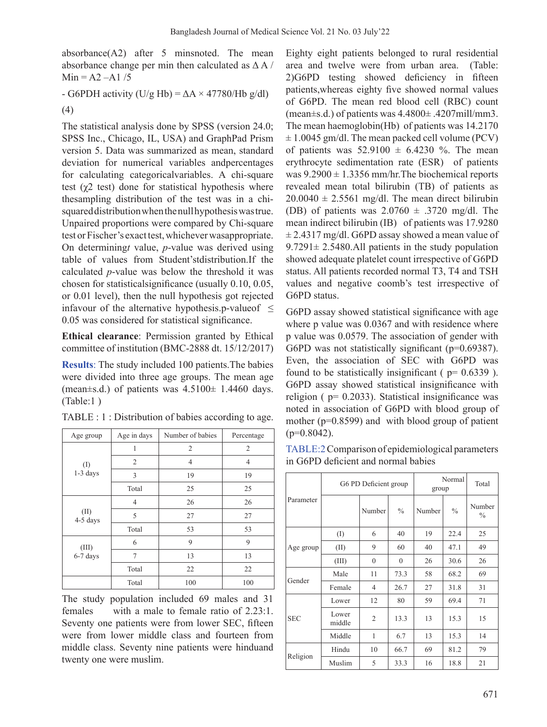absorbance(A2) after 5 minsnoted. The mean absorbance change per min then calculated as  $\Delta A$  /  $Min = A2 - A1/5$ 

- G6PDH activity (U/g Hb) =  $\Delta A \times 47780$ /Hb g/dl) (4)

The statistical analysis done by SPSS (version 24.0; SPSS Inc., Chicago, IL, USA) and GraphPad Prism version 5. Data was summarized as mean, standard deviation for numerical variables andpercentages for calculating categoricalvariables. A chi-square test  $(\chi^2$  test) done for statistical hypothesis where thesampling distribution of the test was in a chisquareddistributionwhenthenullhypothesiswastrue. Unpaired proportions were compared by Chi-square test or Fischer's exact test, whichever was appropriate. On determining*t* value, *p*-value was derived using table of values from Student'stdistribution.If the calculated *p*-value was below the threshold it was chosen for statisticalsignificance (usually 0.10, 0.05, or 0.01 level), then the null hypothesis got rejected infavour of the alternative hypothesis.p-value of  $\leq$ 0.05 was considered for statistical significance.

**Ethical clearance**: Permission granted by Ethical committee of institution (BMC-2888 dt. 15/12/2017)

**Results**: The study included 100 patients.The babies were divided into three age groups. The mean age (mean $\pm$ s.d.) of patients was  $4.5100\pm 1.4460$  days. (Table:1 )

| Age group           | Age in days    | Number of babies | Percentage |
|---------------------|----------------|------------------|------------|
|                     |                | 2                | 2          |
| $($ I<br>$1-3$ days | 2              | 4                | 4          |
|                     | 3              | 19               | 19         |
|                     | Total          | 25               | 25         |
|                     | 4              | 26               | 26         |
| (II)<br>4-5 days    | 5              | 27               | 27         |
|                     | Total          | 53               | 53         |
| (III)               | 6              | 9                | 9          |
| $6-7$ days          | $\overline{7}$ | 13               | 13         |
|                     | Total          | 22               | 22         |
|                     | Total          | 100              | 100        |

TABLE : 1 : Distribution of babies according to age.

The study population included 69 males and 31 females with a male to female ratio of 2.23:1. Seventy one patients were from lower SEC, fifteen were from lower middle class and fourteen from middle class. Seventy nine patients were hinduand twenty one were muslim.

Eighty eight patients belonged to rural residential area and twelve were from urban area. (Table: 2)G6PD testing showed deficiency in fifteen patients,whereas eighty five showed normal values of G6PD. The mean red blood cell (RBC) count (mean±s.d.) of patients was 4.4800± .4207mill/mm3. The mean haemoglobin(Hb) of patients was 14.2170  $\pm$  1.0045 gm/dl. The mean packed cell volume (PCV) of patients was  $52.9100 \pm 6.4230$  %. The mean erythrocyte sedimentation rate (ESR) of patients was  $9.2900 \pm 1.3356$  mm/hr. The biochemical reports revealed mean total bilirubin (TB) of patients as  $20.0040 \pm 2.5561$  mg/dl. The mean direct bilirubin (DB) of patients was  $2.0760 \pm .3720$  mg/dl. The mean indirect bilirubin (IB) of patients was 17.9280  $\pm$  2.4317 mg/dl. G6PD assay showed a mean value of  $9.7291 \pm 2.5480$ . All patients in the study population showed adequate platelet count irrespective of G6PD status. All patients recorded normal T3, T4 and TSH values and negative coomb's test irrespective of G6PD status.

G6PD assay showed statistical significance with age where p value was 0.0367 and with residence where p value was 0.0579. The association of gender with G6PD was not statistically significant (p=0.69387). Even, the association of SEC with G6PD was found to be statistically insignificant ( $p= 0.6339$ ). G6PD assay showed statistical insignificance with religion ( $p= 0.2033$ ). Statistical insignificance was noted in association of G6PD with blood group of mother (p=0.8599) and with blood group of patient  $(p=0.8042)$ .

TABLE:2 Comparison of epidemiological parameters in G6PD deficient and normal babies

|            | G6 PD Deficient group |                |               | Normal<br>group |               | Total                   |
|------------|-----------------------|----------------|---------------|-----------------|---------------|-------------------------|
| Parameter  |                       | Number         | $\frac{0}{0}$ | Number          | $\frac{0}{0}$ | Number<br>$\frac{0}{0}$ |
|            | $($ I                 | 6              | 40            | 19              | 22.4          | 25                      |
| Age group  | (II)                  | 9              | 60            | 40              | 47.1          | 49                      |
|            | (III)                 | $\overline{0}$ | $\theta$      | 26              | 30.6          | 26                      |
| Gender     | Male                  | 11             | 73.3          | 58              | 68.2          | 69                      |
|            | Female                | $\overline{4}$ | 26.7          | 27              | 31.8          | 31                      |
| <b>SEC</b> | Lower                 | 12             | 80            | 59              | 69.4          | 71                      |
|            | Lower<br>middle       | $\overline{2}$ | 13.3          | 13              | 15.3          | 15                      |
|            | Middle                | 1              | 6.7           | 13              | 15.3          | 14                      |
| Religion   | Hindu                 | 10             | 66.7          | 69              | 81.2          | 79                      |
|            | Muslim                | 5              | 33.3          | 16              | 18.8          | 21                      |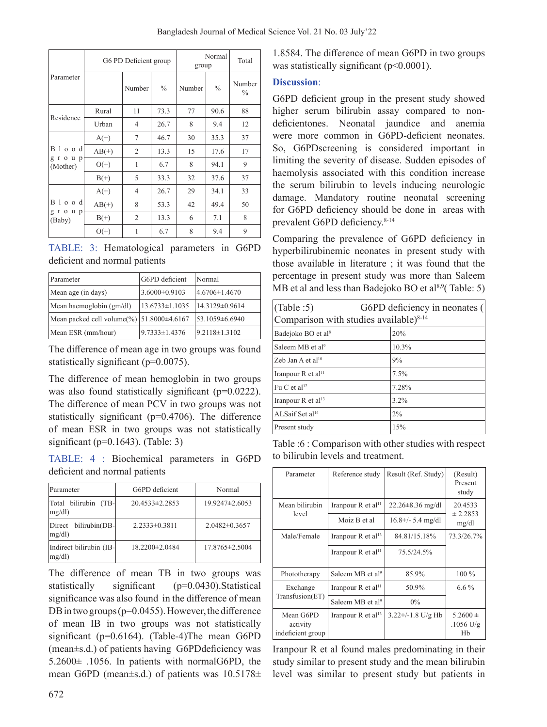| Parameter                       | G6 PD Deficient group |                |               | Normal<br>group |               | Total                   |
|---------------------------------|-----------------------|----------------|---------------|-----------------|---------------|-------------------------|
|                                 |                       | Number         | $\frac{0}{0}$ | Number          | $\frac{0}{0}$ | Number<br>$\frac{0}{0}$ |
| Residence                       | Rural                 | 11             | 73.3          | 77              | 90.6          | 88                      |
|                                 | Urban                 | 4              | 26.7          | 8               | 9.4           | 12                      |
| B l o o dl<br>group<br>(Mother) | $A(+)$                | $\tau$         | 46.7          | 30              | 35.3          | 37                      |
|                                 | $AB(+)$               | $\overline{2}$ | 13.3          | 15              | 17.6          | 17                      |
|                                 | $O(+)$                | 1              | 6.7           | 8               | 94.1          | 9                       |
|                                 | $B(+)$                | 5              | 33.3          | 32              | 37.6          | 37                      |
| B l o o d<br>group<br>(Baby)    | $A(+)$                | $\overline{4}$ | 26.7          | 29              | 34.1          | 33                      |
|                                 | $AB(+)$               | 8              | 53.3          | 42              | 49.4          | 50                      |
|                                 | $B(+)$                | $\overline{2}$ | 13.3          | 6               | 7.1           | 8                       |
|                                 | $O(+)$                | 1              | 6.7           | 8               | 9.4           | 9                       |

TABLE: 3: Hematological parameters in G6PD deficient and normal patients

| Parameter                                 | G6PD deficient       | Normal               |  |
|-------------------------------------------|----------------------|----------------------|--|
| Mean age (in days)                        | $3.6000 \pm 0.9103$  | 4.6706±1.4670        |  |
| Mean haemoglobin (gm/dl)                  | $13.6733 \pm 1.1035$ | $14.3129 \pm 0.9614$ |  |
| Mean packed cell volume(%) 51.8000±4.6167 |                      | $153.1059\pm 6.6940$ |  |
| Mean ESR (mm/hour)                        | $9.7333 \pm 1.4376$  | $19.2118 \pm 1.3102$ |  |

The difference of mean age in two groups was found statistically significant (p=0.0075).

The difference of mean hemoglobin in two groups was also found statistically significant (p=0.0222). The difference of mean PCV in two groups was not statistically significant (p=0.4706). The difference of mean ESR in two groups was not statistically significant ( $p=0.1643$ ). (Table: 3)

TABLE: 4 : Biochemical parameters in G6PD deficient and normal patients

| Parameter                        | G6PD deficient       | Normal            |  |
|----------------------------------|----------------------|-------------------|--|
| Total bilirubin (TB-<br>mg/dl    | $20.4533 \pm 2.2853$ | 19.9247±2.6053    |  |
| Direct bilirubin(DB-<br>mg/dl    | $2.2333\pm0.3811$    | $2.0482\pm0.3657$ |  |
| Indirect bilirubin (IB-<br>mg/dl | $18.2200 \pm 2.0484$ | 17.8765±2.5004    |  |

The difference of mean TB in two groups was statistically significant (p=0.0430).Statistical significance was also found in the difference of mean DB in two groups ( $p=0.0455$ ). However, the difference of mean IB in two groups was not statistically significant (p=0.6164). (Table-4)The mean G6PD (mean±s.d.) of patients having G6PDdeficiency was 5.2600± .1056. In patients with normalG6PD, the mean G6PD (mean±s.d.) of patients was 10.5178±

1.8584. The difference of mean G6PD in two groups was statistically significant (p<0.0001).

# **Discussion**:

G6PD deficient group in the present study showed higher serum bilirubin assay compared to nondeficientones. Neonatal jaundice and anemia were more common in G6PD-deficient neonates. So, G6PDscreening is considered important in limiting the severity of disease. Sudden episodes of haemolysis associated with this condition increase the serum bilirubin to levels inducing neurologic damage. Mandatory routine neonatal screening for G6PD deficiency should be done in areas with prevalent G6PD deficiency.<sup>8-14</sup>

Comparing the prevalence of G6PD deficiency in hyperbilirubinemic neonates in present study with those available in literature ; it was found that the percentage in present study was more than Saleem MB et al and less than Badejoko BO et al $8.9$ (Table: 5)

| (Table:5)<br>G6PD deficiency in neonates (<br>Comparison with studies available) <sup>8-14</sup> |         |  |  |  |
|--------------------------------------------------------------------------------------------------|---------|--|--|--|
| Badejoko BO et al <sup>8</sup>                                                                   | 20%     |  |  |  |
| Saleem MB et al <sup>9</sup>                                                                     | 10.3%   |  |  |  |
| Zeb Jan A et $al^{10}$                                                                           | 9%      |  |  |  |
| Iranpour R et al <sup>11</sup>                                                                   | 7.5%    |  |  |  |
| Fu C et al <sup>12</sup>                                                                         | 7.28%   |  |  |  |
| Iranpour R et al <sup>13</sup>                                                                   | $3.2\%$ |  |  |  |
| ALSaif Set al <sup>14</sup>                                                                      | $2\%$   |  |  |  |
| Present study                                                                                    | 15%     |  |  |  |

Table :6 : Comparison with other studies with respect to bilirubin levels and treatment.

| Parameter                                  | Reference study                  | Result (Ref. Study)    | (Result)<br>Present<br>study              |  |
|--------------------------------------------|----------------------------------|------------------------|-------------------------------------------|--|
| Mean bilirubin<br>level                    | Iranpour R et al <sup>11</sup>   | $22.26 \pm 8.36$ mg/dl | 20.4533<br>$\pm 2.2853$<br>mg/dl          |  |
|                                            | Moiz B et al                     | $16.8 +/- 5.4$ mg/dl   |                                           |  |
| Male/Female                                | Iranpour $R$ et al <sup>13</sup> | 84.81/15.18%           | 73.3/26.7%                                |  |
|                                            | Iranpour $R$ et al <sup>11</sup> | 75.5/24.5%             |                                           |  |
| Phototherapy                               | Saleem MB et $al9$               | 85.9%                  | $100\%$                                   |  |
| Exchange                                   | Iranpour R et al <sup>11</sup>   | 50.9%                  | $6.6\%$                                   |  |
| Transfusion(ET)                            | Saleem MB et al <sup>9</sup>     | $0\%$                  |                                           |  |
| Mean G6PD<br>activity<br>indeficient group | Iranpour R et al <sup>13</sup>   | $3.22+/-1.8$ U/g Hb    | $5.2600 \pm$<br>$.1056 \text{ U/g}$<br>Hb |  |

Iranpour R et al found males predominating in their study similar to present study and the mean bilirubin level was similar to present study but patients in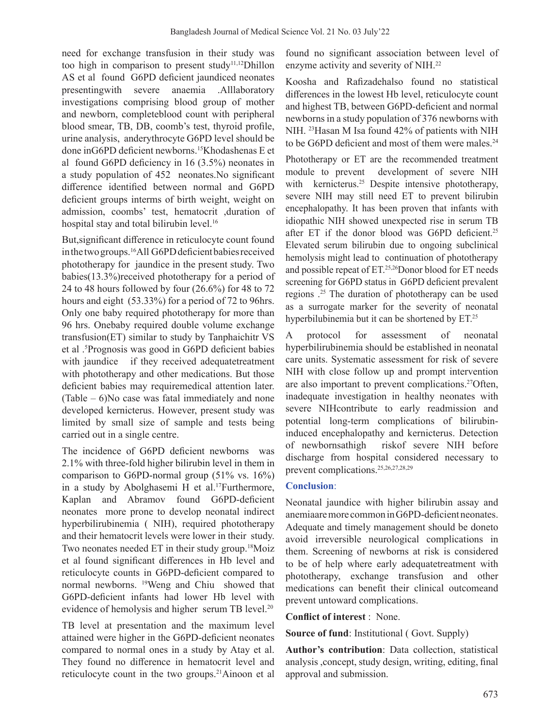need for exchange transfusion in their study was too high in comparison to present study<sup>11,12</sup>Dhillon AS et al found G6PD deficient jaundiced neonates presentingwith severe anaemia .Alllaboratory investigations comprising blood group of mother and newborn, completeblood count with peripheral blood smear, TB, DB, coomb's test, thyroid profile, urine analysis, anderythrocyte G6PD level should be done inG6PD deficient newborns.<sup>15</sup>Khodashenas E et al found G6PD deficiency in 16 (3.5%) neonates in a study population of 452 neonates.No significant difference identified between normal and G6PD deficient groups interms of birth weight, weight on admission, coombs' test, hematocrit ,duration of hospital stay and total bilirubin level.<sup>16</sup>

But,significant difference in reticulocyte count found in the two groups.<sup>16</sup>All G6PD deficient babies received phototherapy for jaundice in the present study. Two babies(13.3%)received phototherapy for a period of 24 to 48 hours followed by four (26.6%) for 48 to 72 hours and eight (53.33%) for a period of 72 to 96 hrs. Only one baby required phototherapy for more than 96 hrs. Onebaby required double volume exchange transfusion(ET) similar to study by Tanphaichitr VS et al .5 Prognosis was good in G6PD deficient babies with jaundice if they received adequatetreatment with phototherapy and other medications. But those deficient babies may requiremedical attention later.  $(Table - 6)$ No case was fatal immediately and none developed kernicterus. However, present study was limited by small size of sample and tests being carried out in a single centre.

The incidence of G6PD deficient newborns was 2.1% with three-fold higher bilirubin level in them in comparison to G6PD-normal group (51% vs. 16%) in a study by Abolghasemi H et al.<sup>17</sup>Furthermore, Kaplan and Abramov found G6PD-deficient neonates more prone to develop neonatal indirect hyperbilirubinemia ( NIH), required phototherapy and their hematocrit levels were lower in their study. Two neonates needed ET in their study group.<sup>18</sup>Moiz et al found significant differences in Hb level and reticulocyte counts in G6PD-deficient compared to normal newborns. 19Weng and Chiu showed that G6PD-deficient infants had lower Hb level with evidence of hemolysis and higher serum TB level.<sup>20</sup>

TB level at presentation and the maximum level attained were higher in the G6PD-deficient neonates compared to normal ones in a study by Atay et al. They found no difference in hematocrit level and reticulocyte count in the two groups.<sup>21</sup>Ainoon et al found no significant association between level of enzyme activity and severity of NIH.<sup>22</sup>

Koosha and Rafizadehalso found no statistical differences in the lowest Hb level, reticulocyte count and highest TB, between G6PD-deficient and normal newborns in a study population of 376 newborns with NIH. 23Hasan M Isa found 42% of patients with NIH to be G6PD deficient and most of them were males.<sup>24</sup>

Phototherapy or ET are the recommended treatment module to prevent development of severe NIH with kernicterus.<sup>25</sup> Despite intensive phototherapy, severe NIH may still need ET to prevent bilirubin encephalopathy. It has been proven that infants with idiopathic NIH showed unexpected rise in serum TB after ET if the donor blood was G6PD deficient.<sup>25</sup> Elevated serum bilirubin due to ongoing subclinical hemolysis might lead to continuation of phototherapy and possible repeat of ET.<sup>25,26</sup>Donor blood for ET needs screening for G6PD status in G6PD deficient prevalent regions .25 The duration of phototherapy can be used as a surrogate marker for the severity of neonatal hyperbilubinemia but it can be shortened by ET.<sup>25</sup>

A protocol for assessment of neonatal hyperbilirubinemia should be established in neonatal care units. Systematic assessment for risk of severe NIH with close follow up and prompt intervention are also important to prevent complications.<sup>27</sup>Often, inadequate investigation in healthy neonates with severe NIHcontribute to early readmission and potential long-term complications of bilirubininduced encephalopathy and kernicterus. Detection of newbornsathigh riskof severe NIH before discharge from hospital considered necessary to prevent complications.25,26,27,28,29

### **Conclusion**:

Neonatal jaundice with higher bilirubin assay and anemiaare more common in G6PD-deficient neonates. Adequate and timely management should be doneto avoid irreversible neurological complications in them. Screening of newborns at risk is considered to be of help where early adequatetreatment with phototherapy, exchange transfusion and other medications can benefit their clinical outcomeand prevent untoward complications.

**Conflict of interest** : None.

**Source of fund**: Institutional ( Govt. Supply)

**Author's contribution**: Data collection, statistical analysis ,concept, study design, writing, editing, final approval and submission.